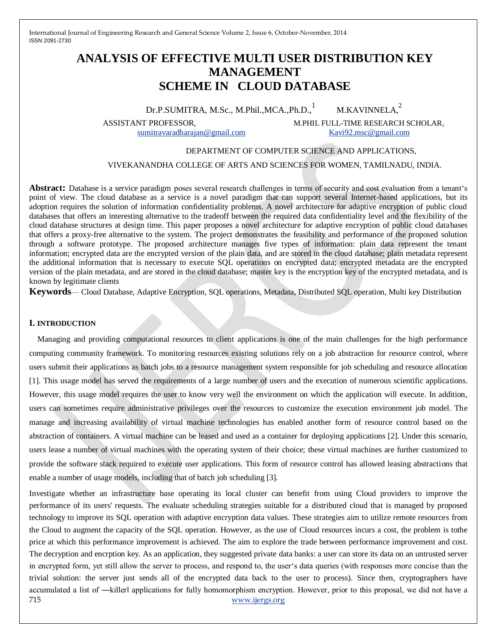# **ANALYSIS OF EFFECTIVE MULTI USER DISTRIBUTION KEY MANAGEMENT SCHEME IN CLOUD DATABASE**

Dr.P.SUMITRA, M.Sc., M.Phil., MCA., Ph.D., M.KAVINNELA.<sup>2</sup>

ASSISTANT PROFESSOR, M.PHIL FULL-TIME RESEARCH SCHOLAR,

[sumitravaradharajan@gmail.com](mailto:sumitravaradharajan@gmail.com) [Kavi92.msc@gmail.com](mailto:Kavi92.msc@gmail.com)

### DEPARTMENT OF COMPUTER SCIENCE AND APPLICATIONS,

#### VIVEKANANDHA COLLEGE OF ARTS AND SCIENCES FOR WOMEN, TAMILNADU, INDIA.

**Abstract:** Database is a service paradigm poses several research challenges in terms of security and cost evaluation from a tenant's point of view. The cloud database as a service is a novel paradigm that can support several Internet-based applications, but its adoption requires the solution of information confidentiality problems. A novel architecture for adaptive encryption of public cloud databases that offers an interesting alternative to the tradeoff between the required data confidentiality level and the flexibility of the cloud database structures at design time. This paper proposes a novel architecture for adaptive encryption of public cloud databases that offers a proxy-free alternative to the system. The project demonstrates the feasibility and performance of the proposed solution through a software prototype. The proposed architecture manages five types of information: plain data represent the tenant information; encrypted data are the encrypted version of the plain data, and are stored in the cloud database; plain metadata represent the additional information that is necessary to execute SQL operations on encrypted data; encrypted metadata are the encrypted version of the plain metadata, and are stored in the cloud database; master key is the encryption key of the encrypted metadata, and is known by legitimate clients

**Keywords**— Cloud Database, Adaptive Encryption, SQL operations, Metadata, Distributed SQL operation, Multi key Distribution

### **I. INTRODUCTION**

Managing and providing computational resources to client applications is one of the main challenges for the high performance computing community framework. To monitoring resources existing solutions rely on a job abstraction for resource control, where users submit their applications as batch jobs to a resource management system responsible for job scheduling and resource allocation [1]. This usage model has served the requirements of a large number of users and the execution of numerous scientific applications. However, this usage model requires the user to know very well the environment on which the application will execute. In addition, users can sometimes require administrative privileges over the resources to customize the execution environment job model. The manage and increasing availability of virtual machine technologies has enabled another form of resource control based on the abstraction of containers. A virtual machine can be leased and used as a container for deploying applications [2]. Under this scenario, users lease a number of virtual machines with the operating system of their choice; these virtual machines are further customized to provide the software stack required to execute user applications. This form of resource control has allowed leasing abstractions that enable a number of usage models, including that of batch job scheduling [3].

715 www.ijergs.org Investigate whether an infrastructure base operating its local cluster can benefit from using Cloud providers to improve the performance of its users' requests. The evaluate scheduling strategies suitable for a distributed cloud that is managed by proposed technology to improve its SQL operation with adaptive encryption data values. These strategies aim to utilize remote resources from the Cloud to augment the capacity of the SQL operation. However, as the use of Cloud resources incurs a cost, the problem is tothe price at which this performance improvement is achieved. The aim to explore the trade between performance improvement and cost. The decryption and encrption key. As an application, they suggested private data banks: a user can store its data on an untrusted server in encrypted form, yet still allow the server to process, and respond to, the user's data queries (with responses more concise than the trivial solution: the server just sends all of the encrypted data back to the user to process). Since then, cryptographers have accumulated a list of ―killer‖ applications for fully homomorphism encryption. However, prior to this proposal, we did not have a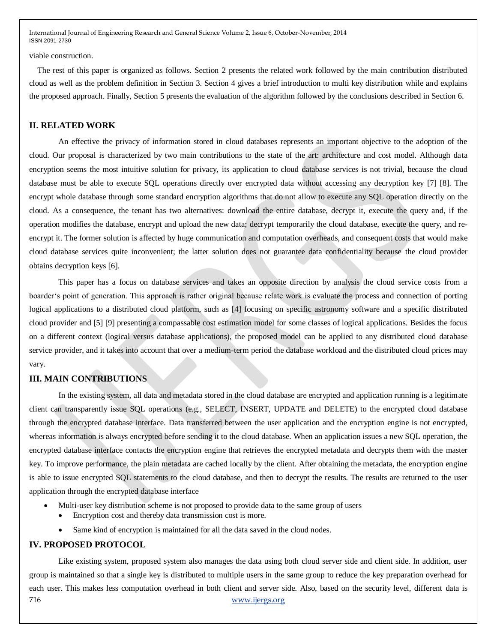viable construction.

The rest of this paper is organized as follows. Section 2 presents the related work followed by the main contribution distributed cloud as well as the problem definition in Section 3. Section 4 gives a brief introduction to multi key distribution while and explains the proposed approach. Finally, Section 5 presents the evaluation of the algorithm followed by the conclusions described in Section 6.

#### **II. RELATED WORK**

An effective the privacy of information stored in cloud databases represents an important objective to the adoption of the cloud. Our proposal is characterized by two main contributions to the state of the art: architecture and cost model. Although data encryption seems the most intuitive solution for privacy, its application to cloud database services is not trivial, because the cloud database must be able to execute SQL operations directly over encrypted data without accessing any decryption key [7] [8]. The encrypt whole database through some standard encryption algorithms that do not allow to execute any SQL operation directly on the cloud. As a consequence, the tenant has two alternatives: download the entire database, decrypt it, execute the query and, if the operation modifies the database, encrypt and upload the new data; decrypt temporarily the cloud database, execute the query, and reencrypt it. The former solution is affected by huge communication and computation overheads, and consequent costs that would make cloud database services quite inconvenient; the latter solution does not guarantee data confidentiality because the cloud provider obtains decryption keys [6].

This paper has a focus on database services and takes an opposite direction by analysis the cloud service costs from a boarder's point of generation. This approach is rather original because relate work is evaluate the process and connection of porting logical applications to a distributed cloud platform, such as [4] focusing on specific astronomy software and a specific distributed cloud provider and [5] [9] presenting a compassable cost estimation model for some classes of logical applications. Besides the focus on a different context (logical versus database applications), the proposed model can be applied to any distributed cloud database service provider, and it takes into account that over a medium-term period the database workload and the distributed cloud prices may vary.

### **III. MAIN CONTRIBUTIONS**

In the existing system, all data and metadata stored in the cloud database are encrypted and application running is a legitimate client can transparently issue SQL operations (e.g., SELECT, INSERT, UPDATE and DELETE) to the encrypted cloud database through the encrypted database interface. Data transferred between the user application and the encryption engine is not encrypted, whereas information is always encrypted before sending it to the cloud database. When an application issues a new SQL operation, the encrypted database interface contacts the encryption engine that retrieves the encrypted metadata and decrypts them with the master key. To improve performance, the plain metadata are cached locally by the client. After obtaining the metadata, the encryption engine is able to issue encrypted SQL statements to the cloud database, and then to decrypt the results. The results are returned to the user application through the encrypted database interface

- Multi-user key distribution scheme is not proposed to provide data to the same group of users
	- Encryption cost and thereby data transmission cost is more.
	- Same kind of encryption is maintained for all the data saved in the cloud nodes.

#### **IV. PROPOSED PROTOCOL**

716 www.ijergs.org Like existing system, proposed system also manages the data using both cloud server side and client side. In addition, user group is maintained so that a single key is distributed to multiple users in the same group to reduce the key preparation overhead for each user. This makes less computation overhead in both client and server side. Also, based on the security level, different data is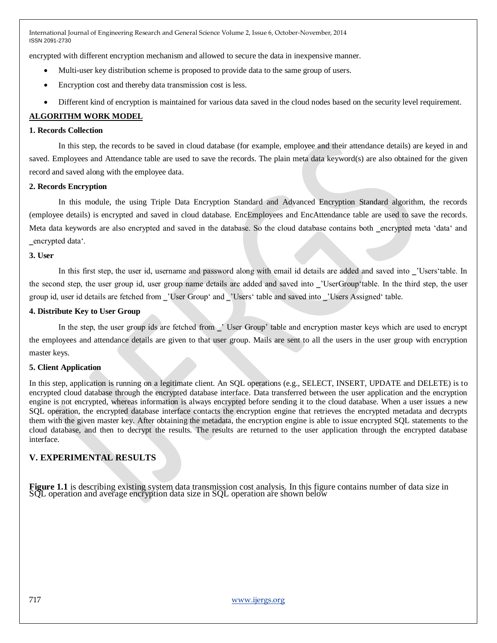encrypted with different encryption mechanism and allowed to secure the data in inexpensive manner.

- Multi-user key distribution scheme is proposed to provide data to the same group of users.
- Encryption cost and thereby data transmission cost is less.
- Different kind of encryption is maintained for various data saved in the cloud nodes based on the security level requirement.

# **ALGORITHM WORK MODEL**

#### **1. Records Collection**

In this step, the records to be saved in cloud database (for example, employee and their attendance details) are keyed in and saved. Employees and Attendance table are used to save the records. The plain meta data keyword(s) are also obtained for the given record and saved along with the employee data.

#### **2. Records Encryption**

In this module, the using Triple Data Encryption Standard and Advanced Encryption Standard algorithm, the records (employee details) is encrypted and saved in cloud database. EncEmployees and EncAttendance table are used to save the records. Meta data keywords are also encrypted and saved in the database. So the cloud database contains both \_encrypted meta 'data' and \_encrypted data'.

#### **3. User**

In this first step, the user id, username and password along with email id details are added and saved into vulgers'table. In the second step, the user group id, user group name details are added and saved into ‗'UserGroup'table. In the third step, the user group id, user id details are fetched from ‗'User Group' and ‗'Users' table and saved into ‗'Users Assigned' table.

#### **4. Distribute Key to User Group**

In the step, the user group ids are fetched from ‗' User Group' table and encryption master keys which are used to encrypt the employees and attendance details are given to that user group. Mails are sent to all the users in the user group with encryption master keys.

## **5. Client Application**

In this step, application is running on a legitimate client. An SQL operations (e.g., SELECT, INSERT, UPDATE and DELETE) is to encrypted cloud database through the encrypted database interface. Data transferred between the user application and the encryption engine is not encrypted, whereas information is always encrypted before sending it to the cloud database. When a user issues a new SQL operation, the encrypted database interface contacts the encryption engine that retrieves the encrypted metadata and decrypts them with the given master key. After obtaining the metadata, the encryption engine is able to issue encrypted SQL statements to the cloud database, and then to decrypt the results. The results are returned to the user application through the encrypted database interface.

# **V. EXPERIMENTAL RESULTS**

**Figure 1.1** is describing existing system data transmission cost analysis. In this figure contains number of data size in SQL operation and average encryption data size in SQL operation are shown below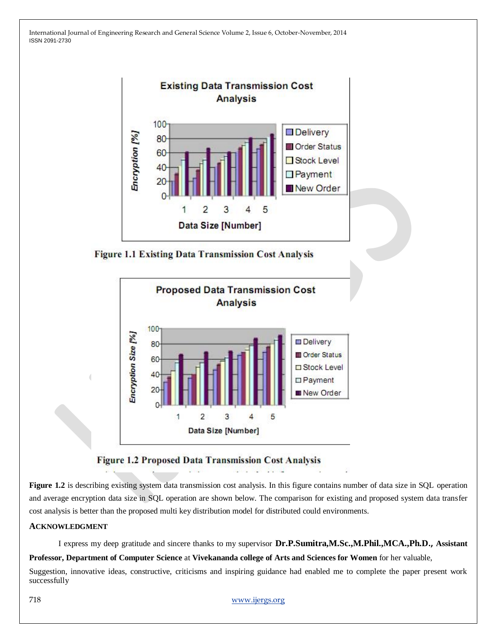





# **Figure 1.2 Proposed Data Transmission Cost Analysis**

**Figure 1.2** is describing existing system data transmission cost analysis. In this figure contains number of data size in SQL operation and average encryption data size in SQL operation are shown below. The comparison for existing and proposed system data transfer cost analysis is better than the proposed multi key distribution model for distributed could environments.

## **ACKNOWLEDGMENT**

I express my deep gratitude and sincere thanks to my supervisor **Dr.P.Sumitra,M.Sc.,M.Phil.,MCA.,Ph.D., Assistant Professor, Department of Computer Science** at **Vivekananda college of Arts and Sciences for Women** for her valuable,

Suggestion, innovative ideas, constructive, criticisms and inspiring guidance had enabled me to complete the paper present work successfully

718 www.ijergs.org